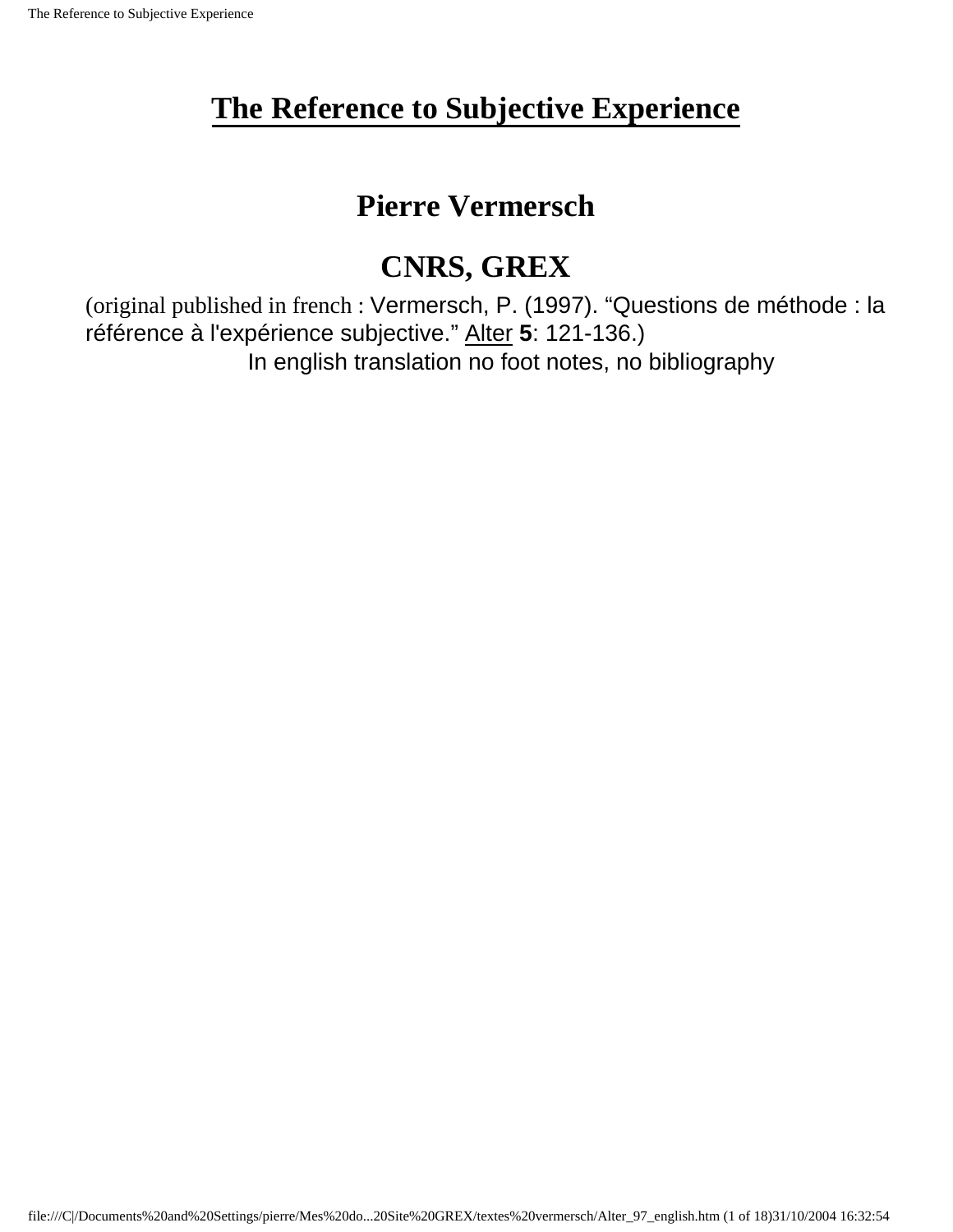### **Pierre Vermersch**

# **CNRS, GREX**

(original published in french : Vermersch, P. (1997). "Questions de méthode : la référence à l'expérience subjective." Alter **5**: 121-136.) In english translation no foot notes, no bibliography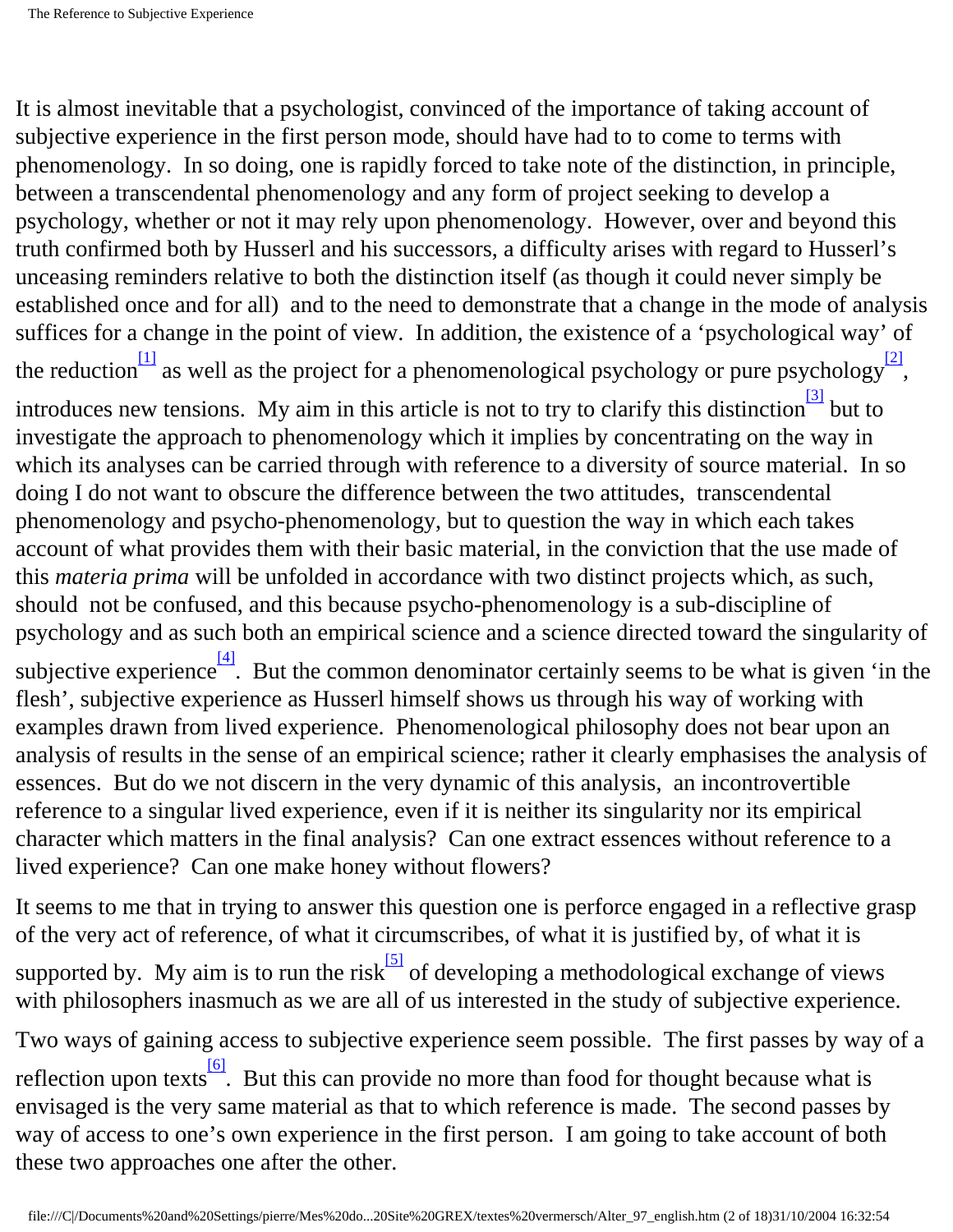<span id="page-1-1"></span><span id="page-1-0"></span>It is almost inevitable that a psychologist, convinced of the importance of taking account of subjective experience in the first person mode, should have had to to come to terms with phenomenology. In so doing, one is rapidly forced to take note of the distinction, in principle, between a transcendental phenomenology and any form of project seeking to develop a psychology, whether or not it may rely upon phenomenology. However, over and beyond this truth confirmed both by Husserl and his successors, a difficulty arises with regard to Husserl's unceasing reminders relative to both the distinction itself (as though it could never simply be established once and for all) and to the need to demonstrate that a change in the mode of analysis suffices for a change in the point of view. In addition, the existence of a 'psychological way' of the reduction as well as the project for a phenomenological psychology or pure psychology<sup>[\[2\]](#page-16-1)</sup>, introduces new tensions. My aim in this article is not to try to clarify this distinction  $\frac{3}{3}$  but to investigate the approach to phenomenology which it implies by concentrating on the way in which its analyses can be carried through with reference to a diversity of source material. In so doing I do not want to obscure the difference between the two attitudes, transcendental phenomenology and psycho-phenomenology, but to question the way in which each takes account of what provides them with their basic material, in the conviction that the use made of this *materia prima* will be unfolded in accordance with two distinct projects which, as such, should not be confused, and this because psycho-phenomenology is a sub-discipline of psychology and as such both an empirical science and a science directed toward the singularity of subjective experience $\frac{41}{4}$ . But the common denominator certainly seems to be what is given 'in the flesh', subjective experience as Husserl himself shows us through his way of working with examples drawn from lived experience. Phenomenological philosophy does not bear upon an analysis of results in the sense of an empirical science; rather it clearly emphasises the analysis of essences. But do we not discern in the very dynamic of this analysis, an incontrovertible reference to a singular lived experience, even if it is neither its singularity nor its empirical character which matters in the final analysis? Can one extract essences without reference to a lived experience? Can one make honey without flowers?

<span id="page-1-4"></span><span id="page-1-3"></span><span id="page-1-2"></span>It seems to me that in trying to answer this question one is perforce engaged in a reflective grasp of the very act of reference, of what it circumscribes, of what it is justified by, of what it is supported by. My aim is to run the risk  $\frac{5}{5}$  of developing a methodological exchange of views with philosophers inasmuch as we are all of us interested in the study of subjective experience. Two ways of gaining access to subjective experience seem possible. The first passes by way of a reflection upon texts<sup>[6]</sup>. But this can provide no more than food for thought because what is envisaged is the very same material as that to which reference is made. The second passes by way of access to one's own experience in the first person. I am going to take account of both these two approaches one after the other.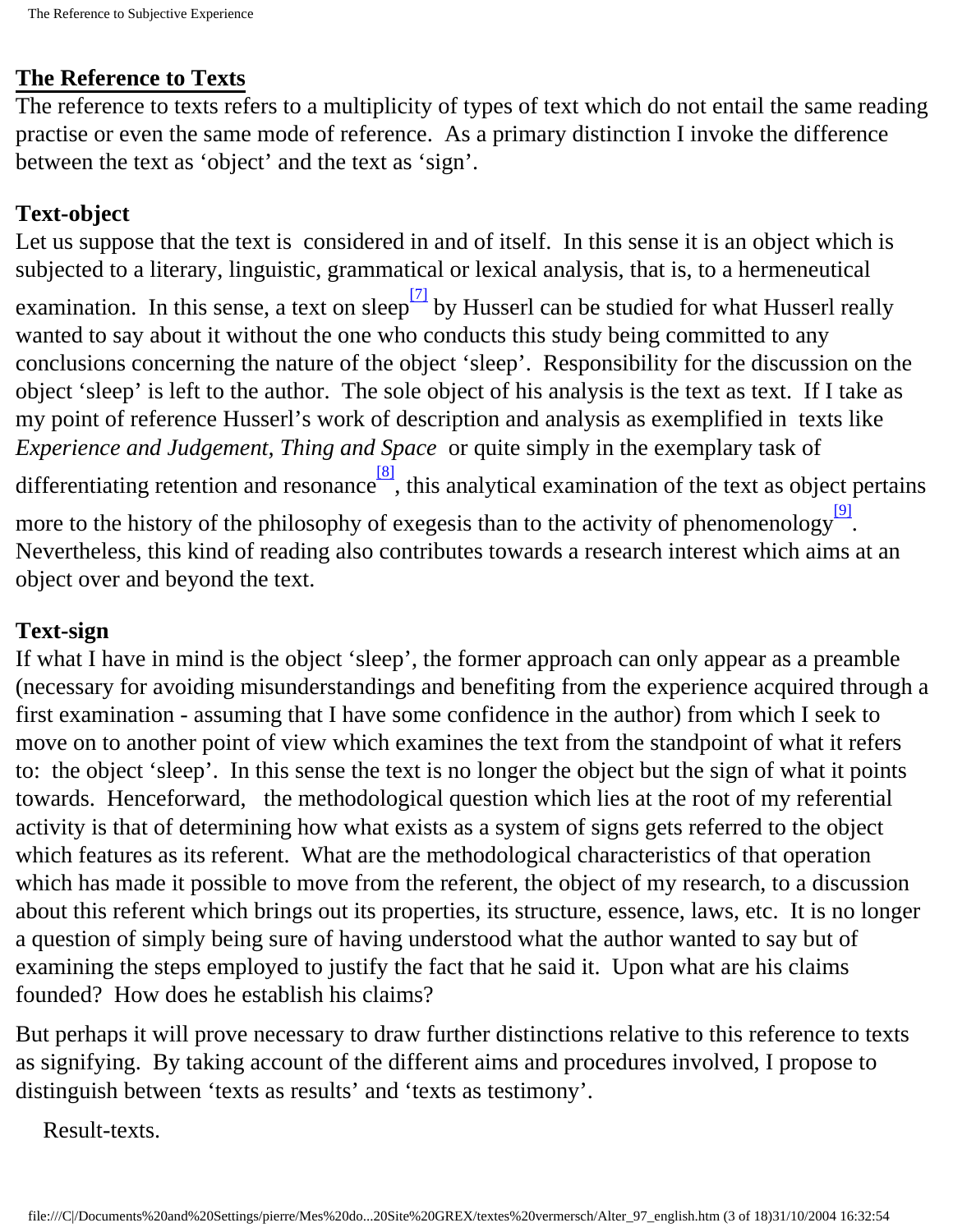#### **The Reference to Texts**

The reference to texts refers to a multiplicity of types of text which do not entail the same reading practise or even the same mode of reference. As a primary distinction I invoke the difference between the text as 'object' and the text as 'sign'.

#### **Text-object**

Let us suppose that the text is considered in and of itself. In this sense it is an object which is subjected to a literary, linguistic, grammatical or lexical analysis, that is, to a hermeneutical

<span id="page-2-0"></span>examination. In this sense, a text on sleep  $\frac{7}{2}$  by Husserl can be studied for what Husserl really wanted to say about it without the one who conducts this study being committed to any conclusions concerning the nature of the object 'sleep'. Responsibility for the discussion on the object 'sleep' is left to the author. The sole object of his analysis is the text as text. If I take as my point of reference Husserl's work of description and analysis as exemplified in texts like *Experience and Judgement, Thing and Space* or quite simply in the exemplary task of

differentiating retention and resonance  $\frac{8}{8}$ , this analytical examination of the text as object pertains

<span id="page-2-2"></span><span id="page-2-1"></span>more to the history of the philosophy of exegesis than to the activity of phenomenology<sup>[\[9\]](#page-16-8)</sup>. Nevertheless, this kind of reading also contributes towards a research interest which aims at an object over and beyond the text.

#### **Text-sign**

If what I have in mind is the object 'sleep', the former approach can only appear as a preamble (necessary for avoiding misunderstandings and benefiting from the experience acquired through a first examination - assuming that I have some confidence in the author) from which I seek to move on to another point of view which examines the text from the standpoint of what it refers to: the object 'sleep'. In this sense the text is no longer the object but the sign of what it points towards. Henceforward, the methodological question which lies at the root of my referential activity is that of determining how what exists as a system of signs gets referred to the object which features as its referent. What are the methodological characteristics of that operation which has made it possible to move from the referent, the object of my research, to a discussion about this referent which brings out its properties, its structure, essence, laws, etc. It is no longer a question of simply being sure of having understood what the author wanted to say but of examining the steps employed to justify the fact that he said it. Upon what are his claims founded? How does he establish his claims?

But perhaps it will prove necessary to draw further distinctions relative to this reference to texts as signifying. By taking account of the different aims and procedures involved, I propose to distinguish between 'texts as results' and 'texts as testimony'.

Result-texts.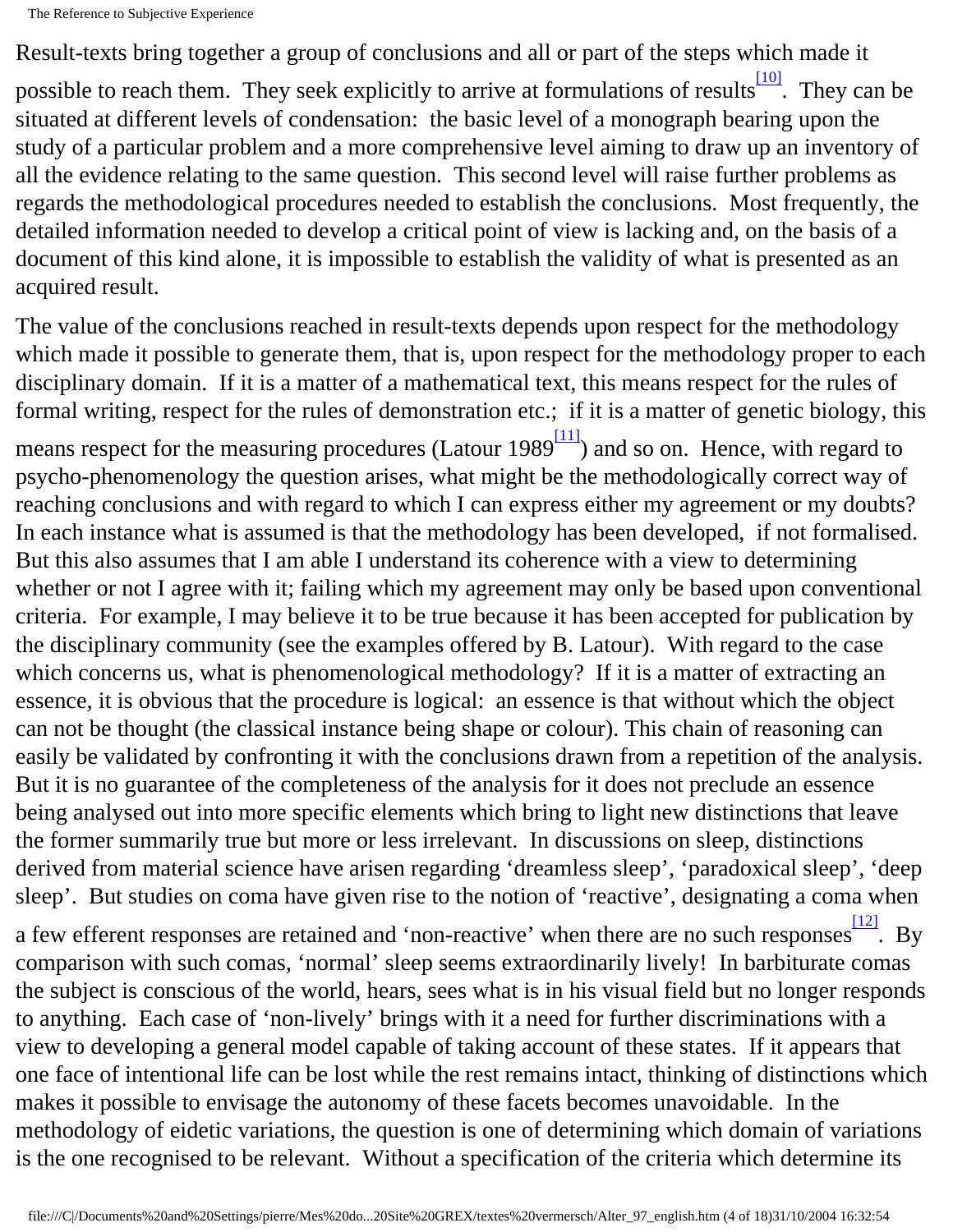Result-texts bring together a group of conclusions and all or part of the steps which made it

<span id="page-3-0"></span>possible to reach them. They seek explicitly to arrive at formulations of results<sup>[\[10\]](#page-16-9)</sup>. They can be situated at different levels of condensation: the basic level of a monograph bearing upon the study of a particular problem and a more comprehensive level aiming to draw up an inventory of all the evidence relating to the same question. This second level will raise further problems as regards the methodological procedures needed to establish the conclusions. Most frequently, the detailed information needed to develop a critical point of view is lacking and, on the basis of a document of this kind alone, it is impossible to establish the validity of what is presented as an acquired result.

The value of the conclusions reached in result-texts depends upon respect for the methodology which made it possible to generate them, that is, upon respect for the methodology proper to each disciplinary domain. If it is a matter of a mathematical text, this means respect for the rules of formal writing, respect for the rules of demonstration etc.; if it is a matter of genetic biology, this

<span id="page-3-1"></span>means respect for the measuring procedures (Latour  $1989\frac{[11]}{]}$ ) and so on. Hence, with regard to psycho-phenomenology the question arises, what might be the methodologically correct way of reaching conclusions and with regard to which I can express either my agreement or my doubts? In each instance what is assumed is that the methodology has been developed, if not formalised. But this also assumes that I am able I understand its coherence with a view to determining whether or not I agree with it; failing which my agreement may only be based upon conventional criteria. For example, I may believe it to be true because it has been accepted for publication by the disciplinary community (see the examples offered by B. Latour). With regard to the case which concerns us, what is phenomenological methodology? If it is a matter of extracting an essence, it is obvious that the procedure is logical: an essence is that without which the object can not be thought (the classical instance being shape or colour). This chain of reasoning can easily be validated by confronting it with the conclusions drawn from a repetition of the analysis. But it is no guarantee of the completeness of the analysis for it does not preclude an essence being analysed out into more specific elements which bring to light new distinctions that leave the former summarily true but more or less irrelevant. In discussions on sleep, distinctions derived from material science have arisen regarding 'dreamless sleep', 'paradoxical sleep', 'deep sleep'. But studies on coma have given rise to the notion of 'reactive', designating a coma when

<span id="page-3-2"></span>a few efferent responses are retained and 'non-reactive' when there are no such responses  $\frac{12}{12}$ . By comparison with such comas, 'normal' sleep seems extraordinarily lively! In barbiturate comas the subject is conscious of the world, hears, sees what is in his visual field but no longer responds to anything. Each case of 'non-lively' brings with it a need for further discriminations with a view to developing a general model capable of taking account of these states. If it appears that one face of intentional life can be lost while the rest remains intact, thinking of distinctions which makes it possible to envisage the autonomy of these facets becomes unavoidable. In the methodology of eidetic variations, the question is one of determining which domain of variations is the one recognised to be relevant. Without a specification of the criteria which determine its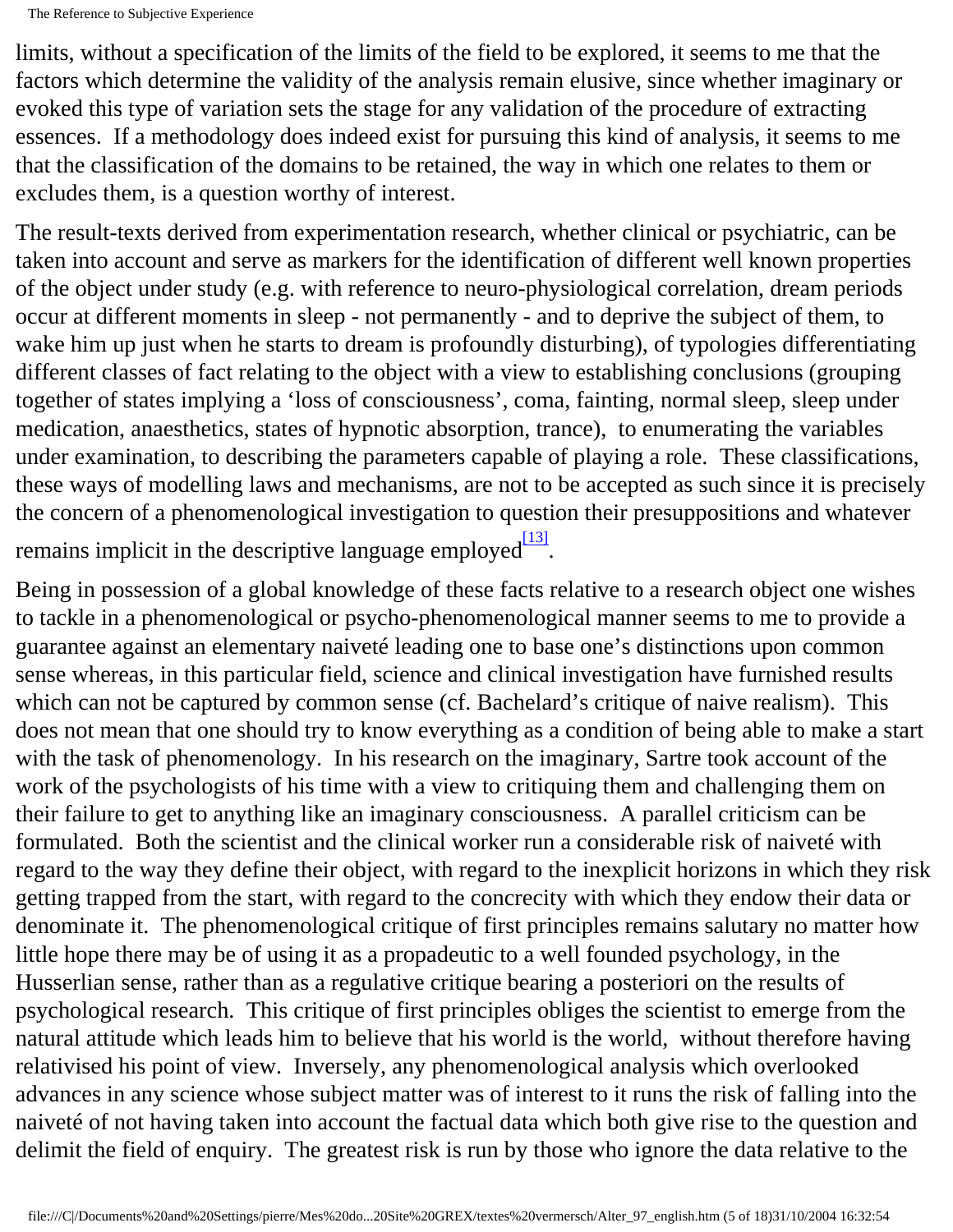limits, without a specification of the limits of the field to be explored, it seems to me that the factors which determine the validity of the analysis remain elusive, since whether imaginary or evoked this type of variation sets the stage for any validation of the procedure of extracting essences. If a methodology does indeed exist for pursuing this kind of analysis, it seems to me that the classification of the domains to be retained, the way in which one relates to them or excludes them, is a question worthy of interest.

The result-texts derived from experimentation research, whether clinical or psychiatric, can be taken into account and serve as markers for the identification of different well known properties of the object under study (e.g. with reference to neuro-physiological correlation, dream periods occur at different moments in sleep - not permanently - and to deprive the subject of them, to wake him up just when he starts to dream is profoundly disturbing), of typologies differentiating different classes of fact relating to the object with a view to establishing conclusions (grouping together of states implying a 'loss of consciousness', coma, fainting, normal sleep, sleep under medication, anaesthetics, states of hypnotic absorption, trance), to enumerating the variables under examination, to describing the parameters capable of playing a role. These classifications, these ways of modelling laws and mechanisms, are not to be accepted as such since it is precisely the concern of a phenomenological investigation to question their presuppositions and whatever remains implicit in the descriptive language employed $\frac{[13]}{[13]}$  $\frac{[13]}{[13]}$  $\frac{[13]}{[13]}$ .

<span id="page-4-0"></span>Being in possession of a global knowledge of these facts relative to a research object one wishes to tackle in a phenomenological or psycho-phenomenological manner seems to me to provide a guarantee against an elementary naiveté leading one to base one's distinctions upon common sense whereas, in this particular field, science and clinical investigation have furnished results which can not be captured by common sense (cf. Bachelard's critique of naive realism). This does not mean that one should try to know everything as a condition of being able to make a start with the task of phenomenology. In his research on the imaginary, Sartre took account of the work of the psychologists of his time with a view to critiquing them and challenging them on their failure to get to anything like an imaginary consciousness. A parallel criticism can be formulated. Both the scientist and the clinical worker run a considerable risk of naiveté with regard to the way they define their object, with regard to the inexplicit horizons in which they risk getting trapped from the start, with regard to the concrecity with which they endow their data or denominate it. The phenomenological critique of first principles remains salutary no matter how little hope there may be of using it as a propadeutic to a well founded psychology, in the Husserlian sense, rather than as a regulative critique bearing a posteriori on the results of psychological research. This critique of first principles obliges the scientist to emerge from the natural attitude which leads him to believe that his world is the world, without therefore having relativised his point of view. Inversely, any phenomenological analysis which overlooked advances in any science whose subject matter was of interest to it runs the risk of falling into the naiveté of not having taken into account the factual data which both give rise to the question and delimit the field of enquiry. The greatest risk is run by those who ignore the data relative to the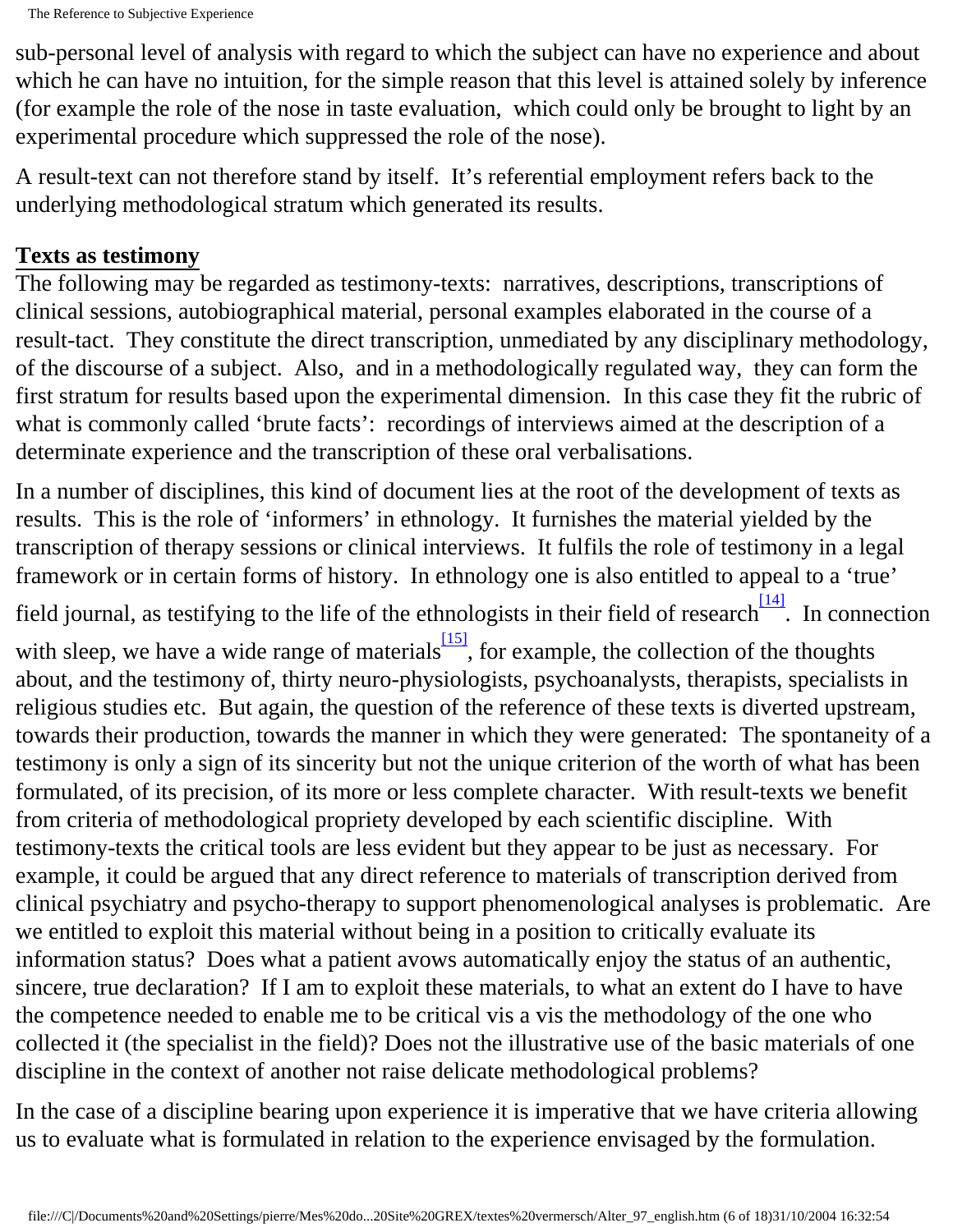sub-personal level of analysis with regard to which the subject can have no experience and about which he can have no intuition, for the simple reason that this level is attained solely by inference (for example the role of the nose in taste evaluation, which could only be brought to light by an experimental procedure which suppressed the role of the nose).

A result-text can not therefore stand by itself. It's referential employment refers back to the underlying methodological stratum which generated its results.

#### **Texts as testimony**

The following may be regarded as testimony-texts: narratives, descriptions, transcriptions of clinical sessions, autobiographical material, personal examples elaborated in the course of a result-tact. They constitute the direct transcription, unmediated by any disciplinary methodology, of the discourse of a subject. Also, and in a methodologically regulated way, they can form the first stratum for results based upon the experimental dimension. In this case they fit the rubric of what is commonly called 'brute facts': recordings of interviews aimed at the description of a determinate experience and the transcription of these oral verbalisations.

<span id="page-5-1"></span><span id="page-5-0"></span>In a number of disciplines, this kind of document lies at the root of the development of texts as results. This is the role of 'informers' in ethnology. It furnishes the material yielded by the transcription of therapy sessions or clinical interviews. It fulfils the role of testimony in a legal framework or in certain forms of history. In ethnology one is also entitled to appeal to a 'true' field journal, as testifying to the life of the ethnologists in their field of research<sup>[14]</sup>. In connection with sleep, we have a wide range of materials  $\frac{15}{15}$ , for example, the collection of the thoughts about, and the testimony of, thirty neuro-physiologists, psychoanalysts, therapists, specialists in religious studies etc. But again, the question of the reference of these texts is diverted upstream, towards their production, towards the manner in which they were generated: The spontaneity of a testimony is only a sign of its sincerity but not the unique criterion of the worth of what has been formulated, of its precision, of its more or less complete character. With result-texts we benefit from criteria of methodological propriety developed by each scientific discipline. With testimony-texts the critical tools are less evident but they appear to be just as necessary. For example, it could be argued that any direct reference to materials of transcription derived from clinical psychiatry and psycho-therapy to support phenomenological analyses is problematic. Are we entitled to exploit this material without being in a position to critically evaluate its information status? Does what a patient avows automatically enjoy the status of an authentic, sincere, true declaration? If I am to exploit these materials, to what an extent do I have to have the competence needed to enable me to be critical vis a vis the methodology of the one who collected it (the specialist in the field)? Does not the illustrative use of the basic materials of one discipline in the context of another not raise delicate methodological problems?

In the case of a discipline bearing upon experience it is imperative that we have criteria allowing us to evaluate what is formulated in relation to the experience envisaged by the formulation.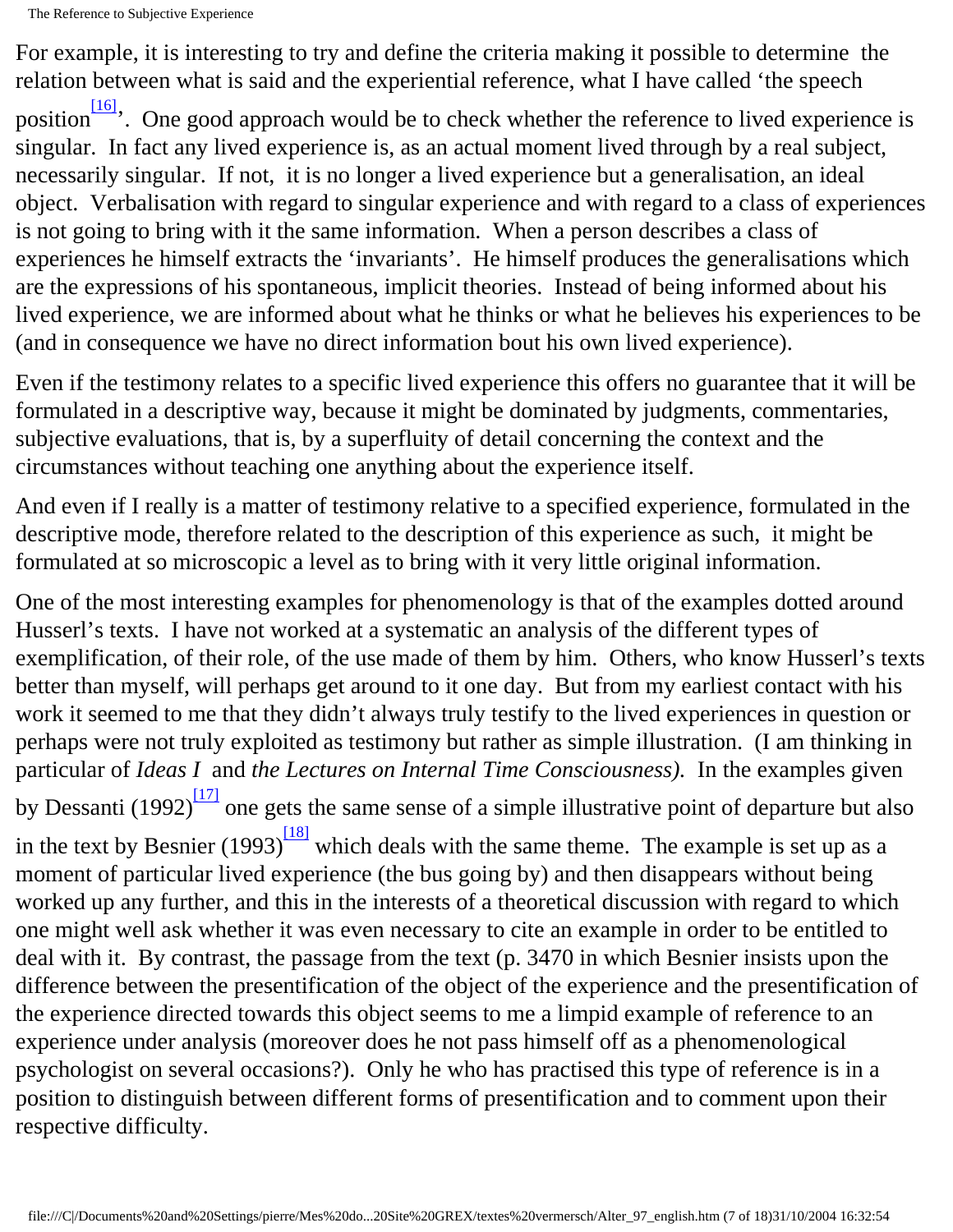For example, it is interesting to try and define the criteria making it possible to determine the relation between what is said and the experiential reference, what I have called 'the speech

<span id="page-6-0"></span>position<sup>[16]</sup>. One good approach would be to check whether the reference to lived experience is singular. In fact any lived experience is, as an actual moment lived through by a real subject, necessarily singular. If not, it is no longer a lived experience but a generalisation, an ideal object. Verbalisation with regard to singular experience and with regard to a class of experiences is not going to bring with it the same information. When a person describes a class of experiences he himself extracts the 'invariants'. He himself produces the generalisations which are the expressions of his spontaneous, implicit theories. Instead of being informed about his lived experience, we are informed about what he thinks or what he believes his experiences to be (and in consequence we have no direct information bout his own lived experience).

Even if the testimony relates to a specific lived experience this offers no guarantee that it will be formulated in a descriptive way, because it might be dominated by judgments, commentaries, subjective evaluations, that is, by a superfluity of detail concerning the context and the circumstances without teaching one anything about the experience itself.

And even if I really is a matter of testimony relative to a specified experience, formulated in the descriptive mode, therefore related to the description of this experience as such, it might be formulated at so microscopic a level as to bring with it very little original information.

<span id="page-6-2"></span><span id="page-6-1"></span>One of the most interesting examples for phenomenology is that of the examples dotted around Husserl's texts. I have not worked at a systematic an analysis of the different types of exemplification, of their role, of the use made of them by him. Others, who know Husserl's texts better than myself, will perhaps get around to it one day. But from my earliest contact with his work it seemed to me that they didn't always truly testify to the lived experiences in question or perhaps were not truly exploited as testimony but rather as simple illustration. (I am thinking in particular of *Ideas I* and *the Lectures on Internal Time Consciousness).* In the examples given by Dessanti (1992) $\frac{17}{2}$  one gets the same sense of a simple illustrative point of departure but also in the text by Besnier (1993) $\frac{18}{8}$  which deals with the same theme. The example is set up as a moment of particular lived experience (the bus going by) and then disappears without being worked up any further, and this in the interests of a theoretical discussion with regard to which one might well ask whether it was even necessary to cite an example in order to be entitled to deal with it. By contrast, the passage from the text (p. 3470 in which Besnier insists upon the difference between the presentification of the object of the experience and the presentification of the experience directed towards this object seems to me a limpid example of reference to an experience under analysis (moreover does he not pass himself off as a phenomenological psychologist on several occasions?). Only he who has practised this type of reference is in a position to distinguish between different forms of presentification and to comment upon their respective difficulty.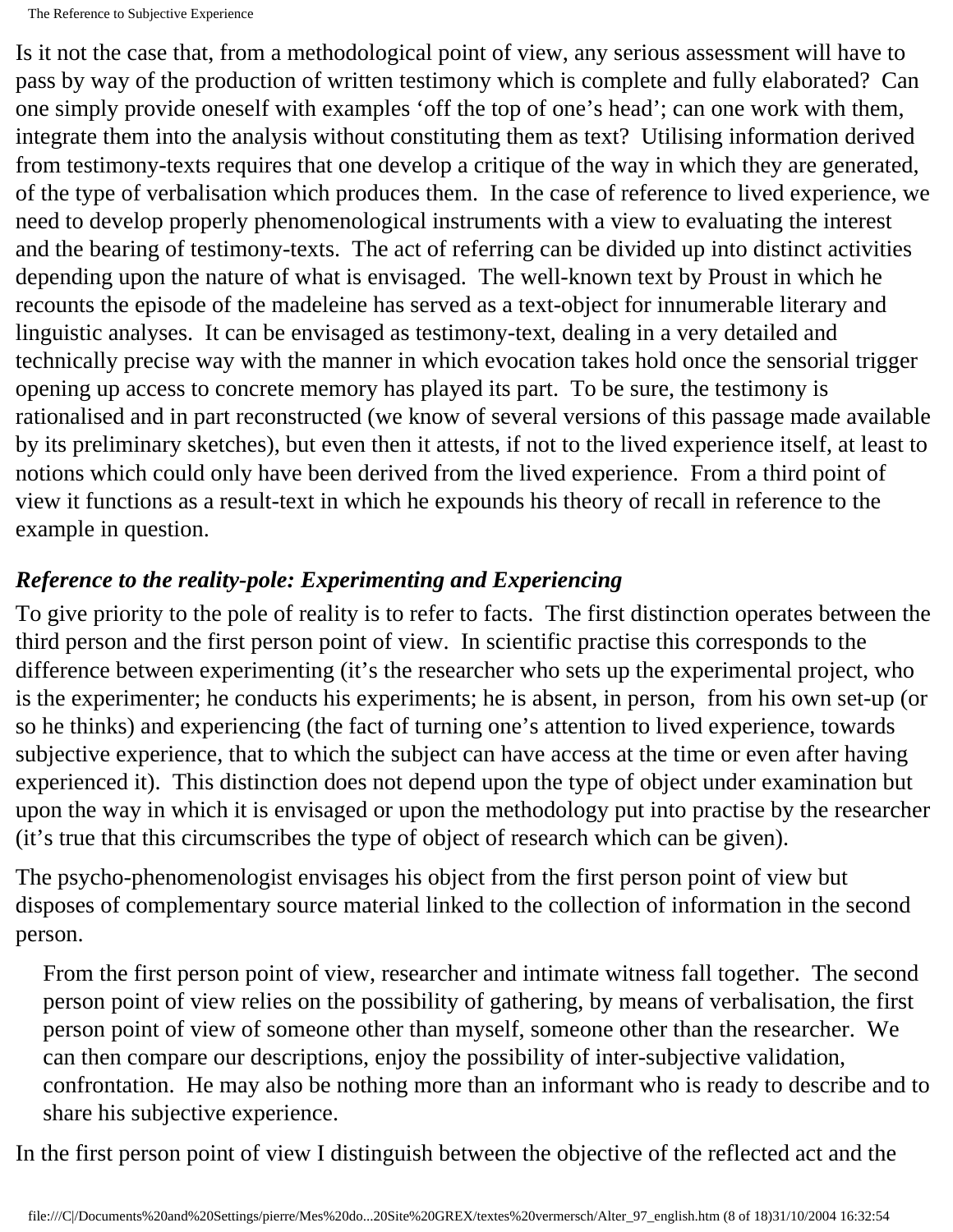Is it not the case that, from a methodological point of view, any serious assessment will have to pass by way of the production of written testimony which is complete and fully elaborated? Can one simply provide oneself with examples 'off the top of one's head'; can one work with them, integrate them into the analysis without constituting them as text? Utilising information derived from testimony-texts requires that one develop a critique of the way in which they are generated, of the type of verbalisation which produces them. In the case of reference to lived experience, we need to develop properly phenomenological instruments with a view to evaluating the interest and the bearing of testimony-texts. The act of referring can be divided up into distinct activities depending upon the nature of what is envisaged. The well-known text by Proust in which he recounts the episode of the madeleine has served as a text-object for innumerable literary and linguistic analyses. It can be envisaged as testimony-text, dealing in a very detailed and technically precise way with the manner in which evocation takes hold once the sensorial trigger opening up access to concrete memory has played its part. To be sure, the testimony is rationalised and in part reconstructed (we know of several versions of this passage made available by its preliminary sketches), but even then it attests, if not to the lived experience itself, at least to notions which could only have been derived from the lived experience. From a third point of view it functions as a result-text in which he expounds his theory of recall in reference to the example in question.

### *Reference to the reality-pole: Experimenting and Experiencing*

To give priority to the pole of reality is to refer to facts. The first distinction operates between the third person and the first person point of view. In scientific practise this corresponds to the difference between experimenting (it's the researcher who sets up the experimental project, who is the experimenter; he conducts his experiments; he is absent, in person, from his own set-up (or so he thinks) and experiencing (the fact of turning one's attention to lived experience, towards subjective experience, that to which the subject can have access at the time or even after having experienced it). This distinction does not depend upon the type of object under examination but upon the way in which it is envisaged or upon the methodology put into practise by the researcher (it's true that this circumscribes the type of object of research which can be given).

The psycho-phenomenologist envisages his object from the first person point of view but disposes of complementary source material linked to the collection of information in the second person.

From the first person point of view, researcher and intimate witness fall together. The second person point of view relies on the possibility of gathering, by means of verbalisation, the first person point of view of someone other than myself, someone other than the researcher. We can then compare our descriptions, enjoy the possibility of inter-subjective validation, confrontation. He may also be nothing more than an informant who is ready to describe and to share his subjective experience.

In the first person point of view I distinguish between the objective of the reflected act and the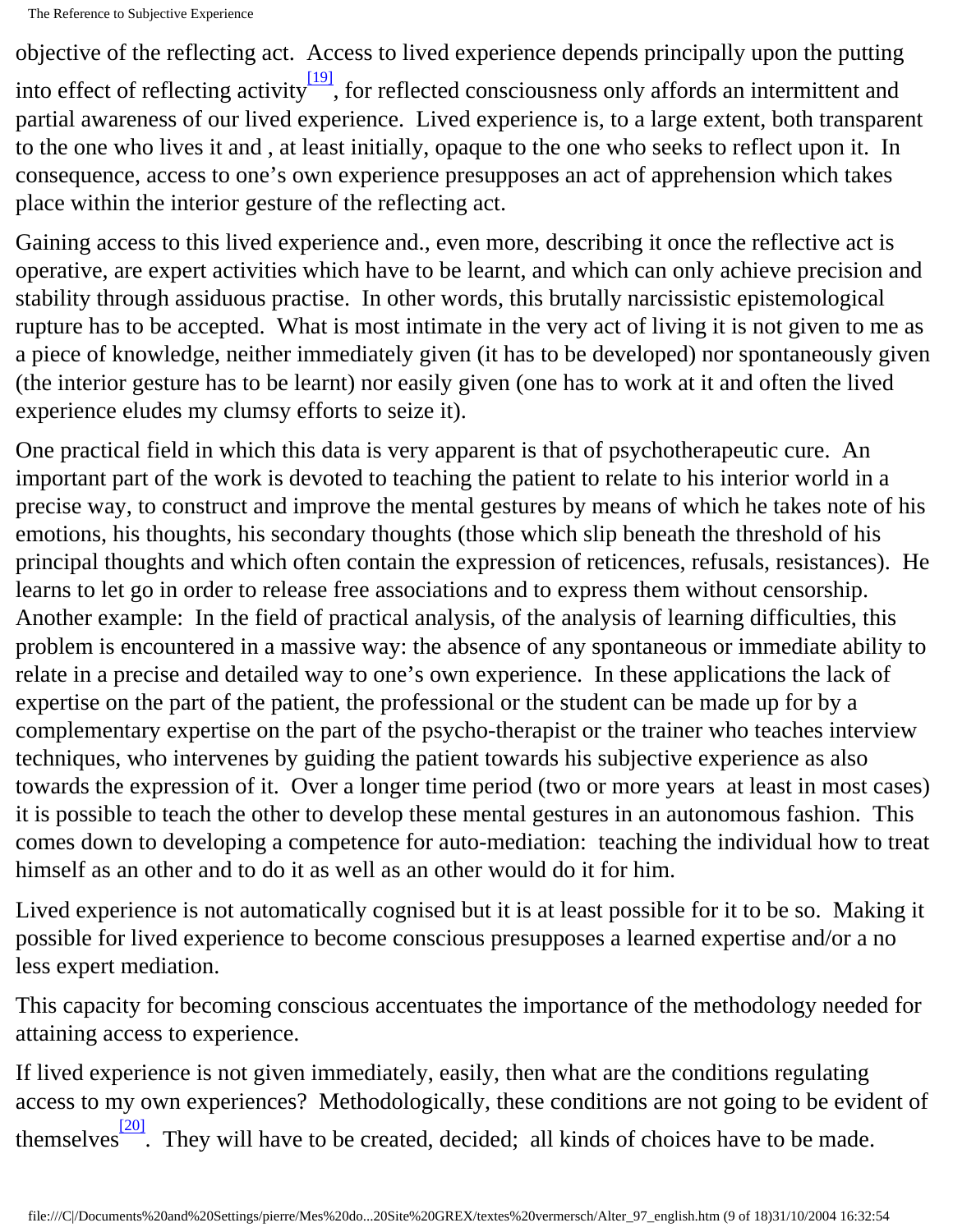<span id="page-8-0"></span>objective of the reflecting act. Access to lived experience depends principally upon the putting into effect of reflecting activity<sup>[19]</sup>, for reflected consciousness only affords an intermittent and partial awareness of our lived experience. Lived experience is, to a large extent, both transparent to the one who lives it and , at least initially, opaque to the one who seeks to reflect upon it. In consequence, access to one's own experience presupposes an act of apprehension which takes place within the interior gesture of the reflecting act.

Gaining access to this lived experience and., even more, describing it once the reflective act is operative, are expert activities which have to be learnt, and which can only achieve precision and stability through assiduous practise. In other words, this brutally narcissistic epistemological rupture has to be accepted. What is most intimate in the very act of living it is not given to me as a piece of knowledge, neither immediately given (it has to be developed) nor spontaneously given (the interior gesture has to be learnt) nor easily given (one has to work at it and often the lived experience eludes my clumsy efforts to seize it).

One practical field in which this data is very apparent is that of psychotherapeutic cure. An important part of the work is devoted to teaching the patient to relate to his interior world in a precise way, to construct and improve the mental gestures by means of which he takes note of his emotions, his thoughts, his secondary thoughts (those which slip beneath the threshold of his principal thoughts and which often contain the expression of reticences, refusals, resistances). He learns to let go in order to release free associations and to express them without censorship. Another example: In the field of practical analysis, of the analysis of learning difficulties, this problem is encountered in a massive way: the absence of any spontaneous or immediate ability to relate in a precise and detailed way to one's own experience. In these applications the lack of expertise on the part of the patient, the professional or the student can be made up for by a complementary expertise on the part of the psycho-therapist or the trainer who teaches interview techniques, who intervenes by guiding the patient towards his subjective experience as also towards the expression of it. Over a longer time period (two or more years at least in most cases) it is possible to teach the other to develop these mental gestures in an autonomous fashion. This comes down to developing a competence for auto-mediation: teaching the individual how to treat himself as an other and to do it as well as an other would do it for him.

Lived experience is not automatically cognised but it is at least possible for it to be so. Making it possible for lived experience to become conscious presupposes a learned expertise and/or a no less expert mediation.

This capacity for becoming conscious accentuates the importance of the methodology needed for attaining access to experience.

<span id="page-8-1"></span>If lived experience is not given immediately, easily, then what are the conditions regulating access to my own experiences? Methodologically, these conditions are not going to be evident of themselves $\frac{201}{20}$ . They will have to be created, decided; all kinds of choices have to be made.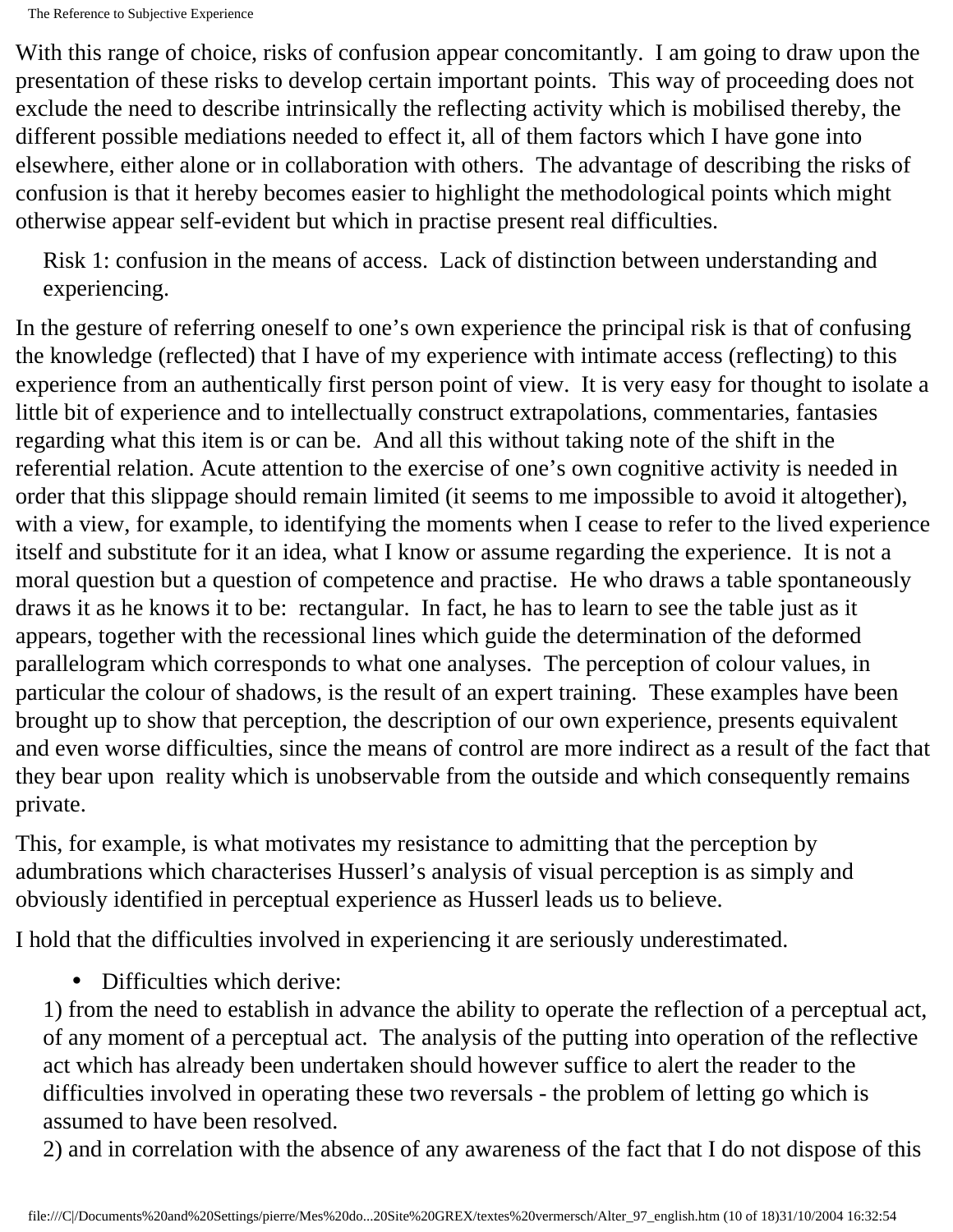With this range of choice, risks of confusion appear concomitantly. I am going to draw upon the presentation of these risks to develop certain important points. This way of proceeding does not exclude the need to describe intrinsically the reflecting activity which is mobilised thereby, the different possible mediations needed to effect it, all of them factors which I have gone into elsewhere, either alone or in collaboration with others. The advantage of describing the risks of confusion is that it hereby becomes easier to highlight the methodological points which might otherwise appear self-evident but which in practise present real difficulties.

Risk 1: confusion in the means of access. Lack of distinction between understanding and experiencing.

In the gesture of referring oneself to one's own experience the principal risk is that of confusing the knowledge (reflected) that I have of my experience with intimate access (reflecting) to this experience from an authentically first person point of view. It is very easy for thought to isolate a little bit of experience and to intellectually construct extrapolations, commentaries, fantasies regarding what this item is or can be. And all this without taking note of the shift in the referential relation. Acute attention to the exercise of one's own cognitive activity is needed in order that this slippage should remain limited (it seems to me impossible to avoid it altogether), with a view, for example, to identifying the moments when I cease to refer to the lived experience itself and substitute for it an idea, what I know or assume regarding the experience. It is not a moral question but a question of competence and practise. He who draws a table spontaneously draws it as he knows it to be: rectangular. In fact, he has to learn to see the table just as it appears, together with the recessional lines which guide the determination of the deformed parallelogram which corresponds to what one analyses. The perception of colour values, in particular the colour of shadows, is the result of an expert training. These examples have been brought up to show that perception, the description of our own experience, presents equivalent and even worse difficulties, since the means of control are more indirect as a result of the fact that they bear upon reality which is unobservable from the outside and which consequently remains private.

This, for example, is what motivates my resistance to admitting that the perception by adumbrations which characterises Husserl's analysis of visual perception is as simply and obviously identified in perceptual experience as Husserl leads us to believe.

I hold that the difficulties involved in experiencing it are seriously underestimated.

• Difficulties which derive:

1) from the need to establish in advance the ability to operate the reflection of a perceptual act, of any moment of a perceptual act. The analysis of the putting into operation of the reflective act which has already been undertaken should however suffice to alert the reader to the difficulties involved in operating these two reversals - the problem of letting go which is assumed to have been resolved.

2) and in correlation with the absence of any awareness of the fact that I do not dispose of this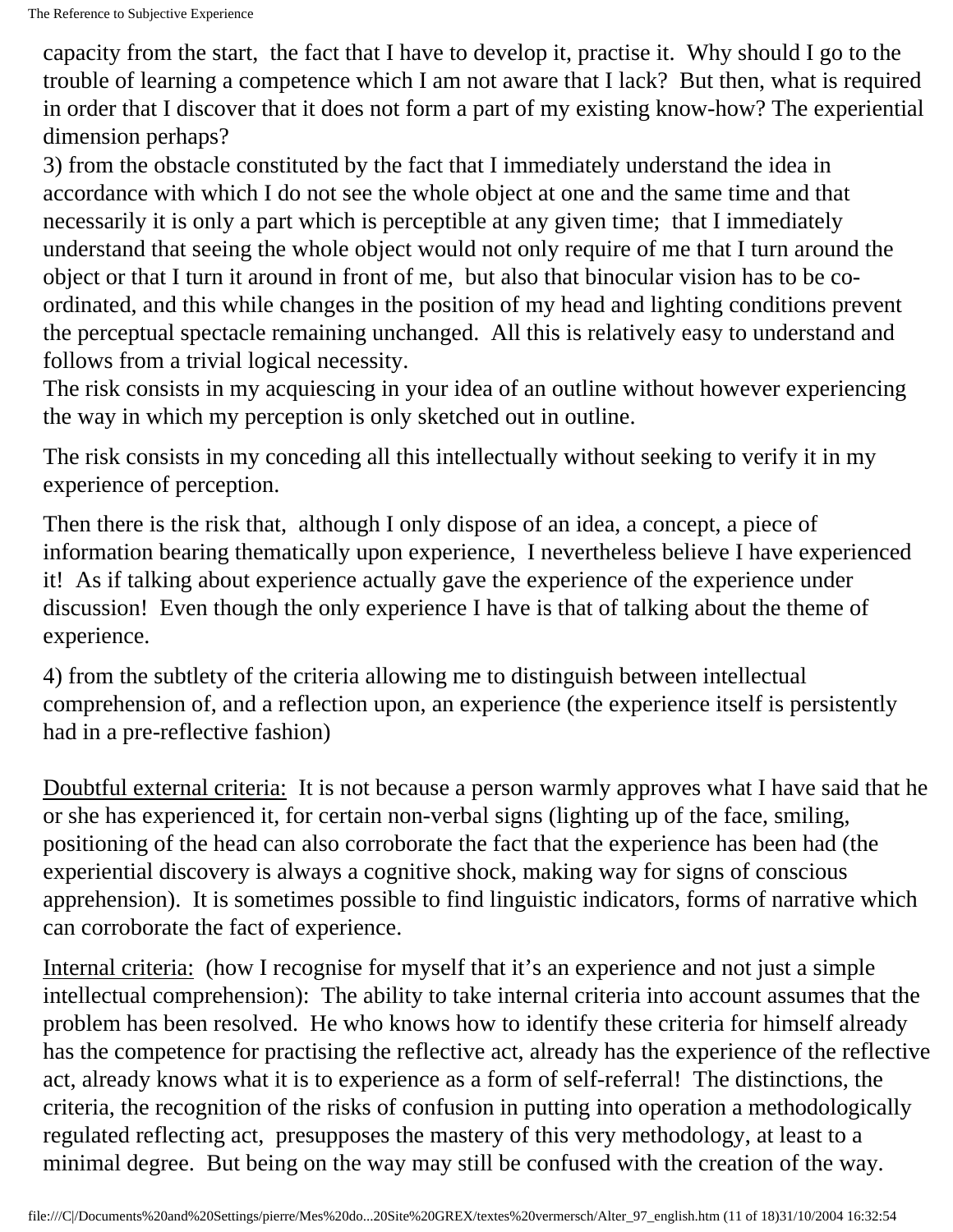capacity from the start, the fact that I have to develop it, practise it. Why should I go to the trouble of learning a competence which I am not aware that I lack? But then, what is required in order that I discover that it does not form a part of my existing know-how? The experiential dimension perhaps?

3) from the obstacle constituted by the fact that I immediately understand the idea in accordance with which I do not see the whole object at one and the same time and that necessarily it is only a part which is perceptible at any given time; that I immediately understand that seeing the whole object would not only require of me that I turn around the object or that I turn it around in front of me, but also that binocular vision has to be coordinated, and this while changes in the position of my head and lighting conditions prevent the perceptual spectacle remaining unchanged. All this is relatively easy to understand and follows from a trivial logical necessity.

The risk consists in my acquiescing in your idea of an outline without however experiencing the way in which my perception is only sketched out in outline.

The risk consists in my conceding all this intellectually without seeking to verify it in my experience of perception.

Then there is the risk that, although I only dispose of an idea, a concept, a piece of information bearing thematically upon experience, I nevertheless believe I have experienced it! As if talking about experience actually gave the experience of the experience under discussion! Even though the only experience I have is that of talking about the theme of experience.

4) from the subtlety of the criteria allowing me to distinguish between intellectual comprehension of, and a reflection upon, an experience (the experience itself is persistently had in a pre-reflective fashion)

Doubtful external criteria: It is not because a person warmly approves what I have said that he or she has experienced it, for certain non-verbal signs (lighting up of the face, smiling, positioning of the head can also corroborate the fact that the experience has been had (the experiential discovery is always a cognitive shock, making way for signs of conscious apprehension). It is sometimes possible to find linguistic indicators, forms of narrative which can corroborate the fact of experience.

Internal criteria: (how I recognise for myself that it's an experience and not just a simple intellectual comprehension): The ability to take internal criteria into account assumes that the problem has been resolved. He who knows how to identify these criteria for himself already has the competence for practising the reflective act, already has the experience of the reflective act, already knows what it is to experience as a form of self-referral! The distinctions, the criteria, the recognition of the risks of confusion in putting into operation a methodologically regulated reflecting act, presupposes the mastery of this very methodology, at least to a minimal degree. But being on the way may still be confused with the creation of the way.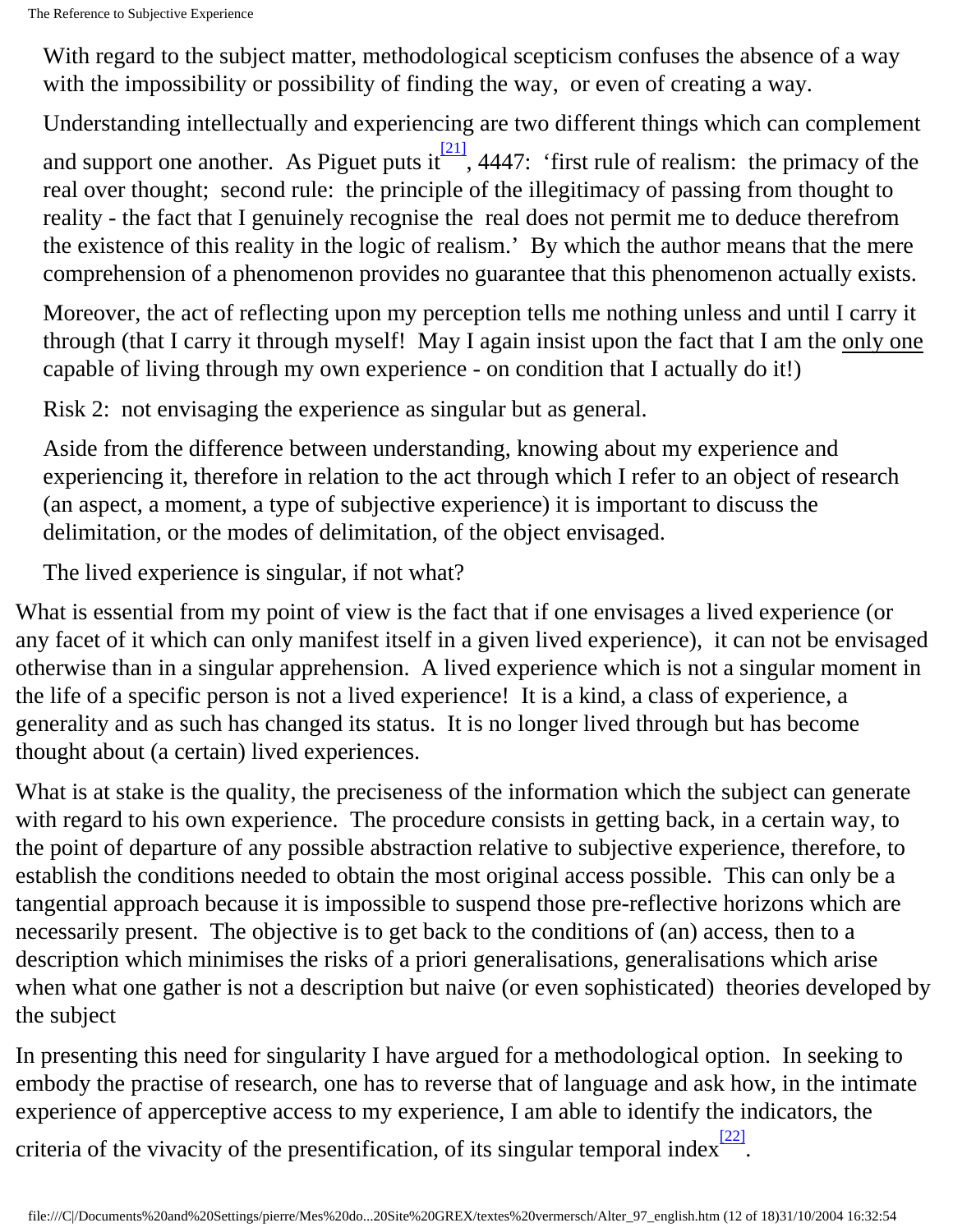With regard to the subject matter, methodological scepticism confuses the absence of a way with the impossibility or possibility of finding the way, or even of creating a way.

<span id="page-11-0"></span>Understanding intellectually and experiencing are two different things which can complement and support one another. As Piguet puts it  $\frac{[21]}{1}$ , 4447: 'first rule of realism: the primacy of the real over thought; second rule: the principle of the illegitimacy of passing from thought to reality - the fact that I genuinely recognise the real does not permit me to deduce therefrom the existence of this reality in the logic of realism.' By which the author means that the mere comprehension of a phenomenon provides no guarantee that this phenomenon actually exists.

Moreover, the act of reflecting upon my perception tells me nothing unless and until I carry it through (that I carry it through myself! May I again insist upon the fact that I am the only one capable of living through my own experience - on condition that I actually do it!)

Risk 2: not envisaging the experience as singular but as general.

Aside from the difference between understanding, knowing about my experience and experiencing it, therefore in relation to the act through which I refer to an object of research (an aspect, a moment, a type of subjective experience) it is important to discuss the delimitation, or the modes of delimitation, of the object envisaged.

The lived experience is singular, if not what?

What is essential from my point of view is the fact that if one envisages a lived experience (or any facet of it which can only manifest itself in a given lived experience), it can not be envisaged otherwise than in a singular apprehension. A lived experience which is not a singular moment in the life of a specific person is not a lived experience! It is a kind, a class of experience, a generality and as such has changed its status. It is no longer lived through but has become thought about (a certain) lived experiences.

What is at stake is the quality, the preciseness of the information which the subject can generate with regard to his own experience. The procedure consists in getting back, in a certain way, to the point of departure of any possible abstraction relative to subjective experience, therefore, to establish the conditions needed to obtain the most original access possible. This can only be a tangential approach because it is impossible to suspend those pre-reflective horizons which are necessarily present. The objective is to get back to the conditions of (an) access, then to a description which minimises the risks of a priori generalisations, generalisations which arise when what one gather is not a description but naive (or even sophisticated) theories developed by the subject

<span id="page-11-1"></span>In presenting this need for singularity I have argued for a methodological option. In seeking to embody the practise of research, one has to reverse that of language and ask how, in the intimate experience of apperceptive access to my experience, I am able to identify the indicators, the criteria of the vivacity of the presentification, of its singular temporal index $\frac{[22]}{[22]}$ .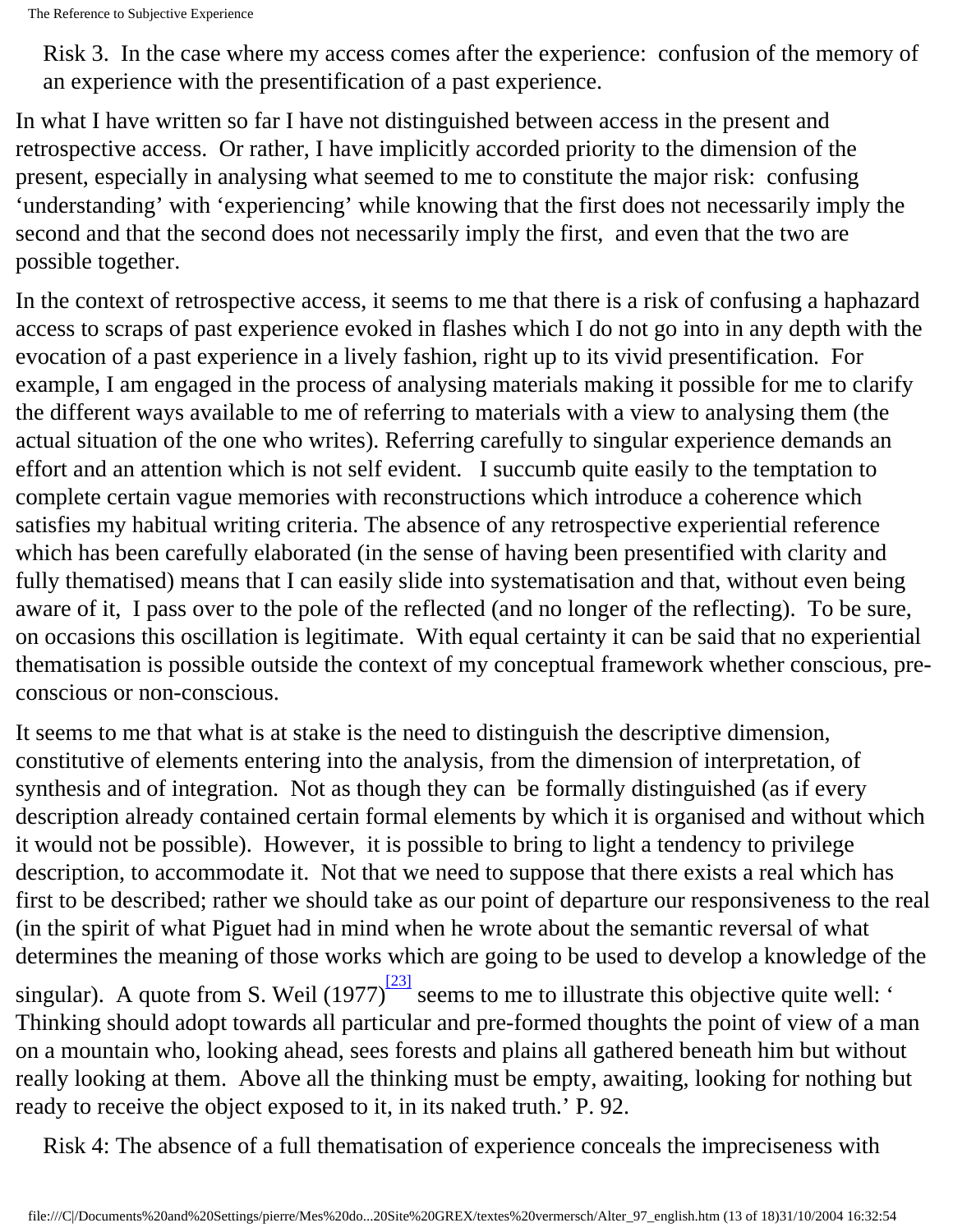Risk 3. In the case where my access comes after the experience: confusion of the memory of an experience with the presentification of a past experience.

In what I have written so far I have not distinguished between access in the present and retrospective access. Or rather, I have implicitly accorded priority to the dimension of the present, especially in analysing what seemed to me to constitute the major risk: confusing 'understanding' with 'experiencing' while knowing that the first does not necessarily imply the second and that the second does not necessarily imply the first, and even that the two are possible together.

In the context of retrospective access, it seems to me that there is a risk of confusing a haphazard access to scraps of past experience evoked in flashes which I do not go into in any depth with the evocation of a past experience in a lively fashion, right up to its vivid presentification. For example, I am engaged in the process of analysing materials making it possible for me to clarify the different ways available to me of referring to materials with a view to analysing them (the actual situation of the one who writes). Referring carefully to singular experience demands an effort and an attention which is not self evident. I succumb quite easily to the temptation to complete certain vague memories with reconstructions which introduce a coherence which satisfies my habitual writing criteria. The absence of any retrospective experiential reference which has been carefully elaborated (in the sense of having been presentified with clarity and fully thematised) means that I can easily slide into systematisation and that, without even being aware of it, I pass over to the pole of the reflected (and no longer of the reflecting). To be sure, on occasions this oscillation is legitimate. With equal certainty it can be said that no experiential thematisation is possible outside the context of my conceptual framework whether conscious, preconscious or non-conscious.

It seems to me that what is at stake is the need to distinguish the descriptive dimension, constitutive of elements entering into the analysis, from the dimension of interpretation, of synthesis and of integration. Not as though they can be formally distinguished (as if every description already contained certain formal elements by which it is organised and without which it would not be possible). However, it is possible to bring to light a tendency to privilege description, to accommodate it. Not that we need to suppose that there exists a real which has first to be described; rather we should take as our point of departure our responsiveness to the real (in the spirit of what Piguet had in mind when he wrote about the semantic reversal of what determines the meaning of those works which are going to be used to develop a knowledge of the singular). A quote from S. Weil  $(1977)^{\frac{[23]}{3}}$  seems to me to illustrate this objective quite well: ' Thinking should adopt towards all particular and pre-formed thoughts the point of view of a man on a mountain who, looking ahead, sees forests and plains all gathered beneath him but without really looking at them. Above all the thinking must be empty, awaiting, looking for nothing but ready to receive the object exposed to it, in its naked truth.' P. 92.

<span id="page-12-0"></span>Risk 4: The absence of a full thematisation of experience conceals the impreciseness with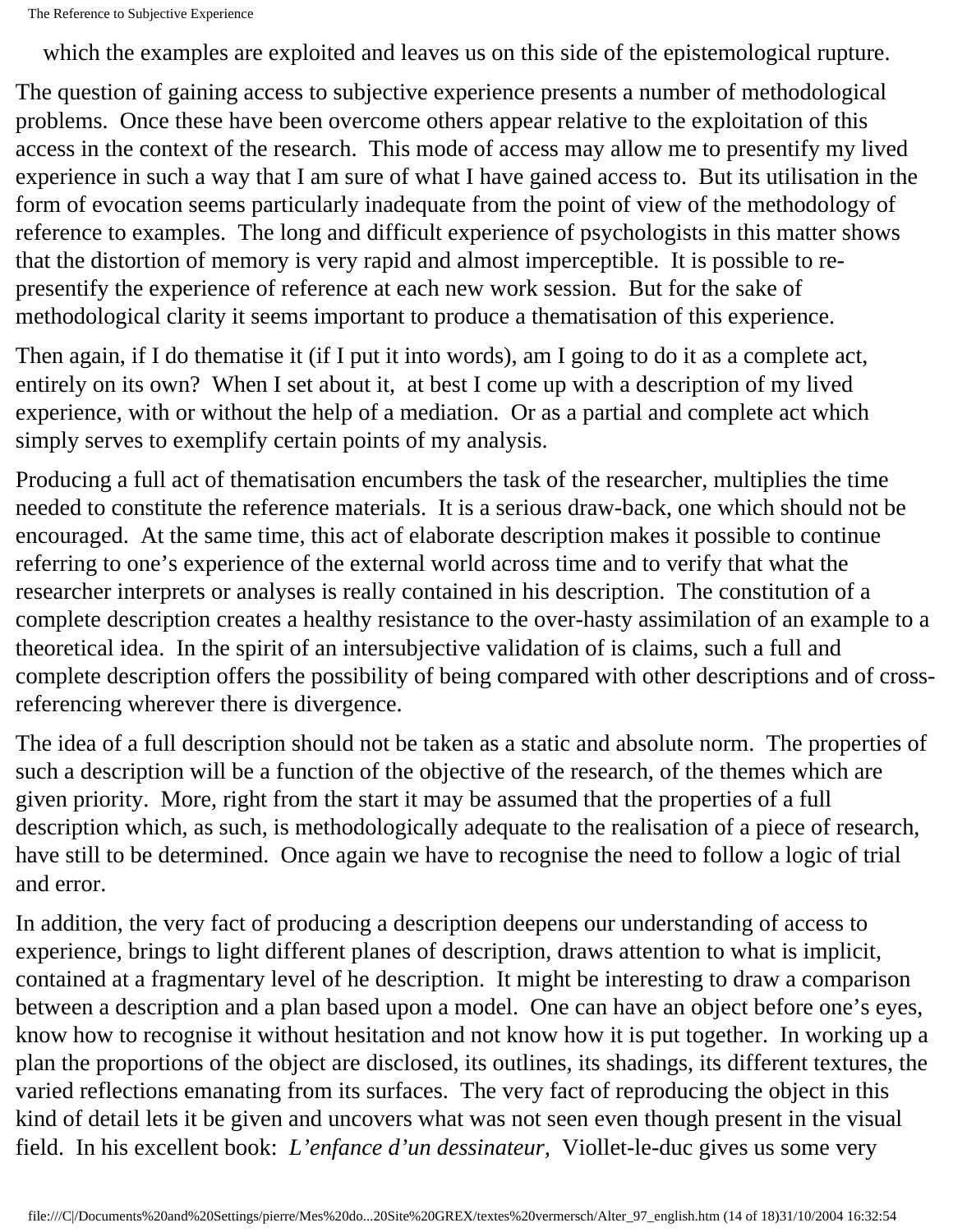which the examples are exploited and leaves us on this side of the epistemological rupture.

The question of gaining access to subjective experience presents a number of methodological problems. Once these have been overcome others appear relative to the exploitation of this access in the context of the research. This mode of access may allow me to presentify my lived experience in such a way that I am sure of what I have gained access to. But its utilisation in the form of evocation seems particularly inadequate from the point of view of the methodology of reference to examples. The long and difficult experience of psychologists in this matter shows that the distortion of memory is very rapid and almost imperceptible. It is possible to representify the experience of reference at each new work session. But for the sake of methodological clarity it seems important to produce a thematisation of this experience.

Then again, if I do thematise it (if I put it into words), am I going to do it as a complete act, entirely on its own? When I set about it, at best I come up with a description of my lived experience, with or without the help of a mediation. Or as a partial and complete act which simply serves to exemplify certain points of my analysis.

Producing a full act of thematisation encumbers the task of the researcher, multiplies the time needed to constitute the reference materials. It is a serious draw-back, one which should not be encouraged. At the same time, this act of elaborate description makes it possible to continue referring to one's experience of the external world across time and to verify that what the researcher interprets or analyses is really contained in his description. The constitution of a complete description creates a healthy resistance to the over-hasty assimilation of an example to a theoretical idea. In the spirit of an intersubjective validation of is claims, such a full and complete description offers the possibility of being compared with other descriptions and of crossreferencing wherever there is divergence.

The idea of a full description should not be taken as a static and absolute norm. The properties of such a description will be a function of the objective of the research, of the themes which are given priority. More, right from the start it may be assumed that the properties of a full description which, as such, is methodologically adequate to the realisation of a piece of research, have still to be determined. Once again we have to recognise the need to follow a logic of trial and error.

In addition, the very fact of producing a description deepens our understanding of access to experience, brings to light different planes of description, draws attention to what is implicit, contained at a fragmentary level of he description. It might be interesting to draw a comparison between a description and a plan based upon a model. One can have an object before one's eyes, know how to recognise it without hesitation and not know how it is put together. In working up a plan the proportions of the object are disclosed, its outlines, its shadings, its different textures, the varied reflections emanating from its surfaces. The very fact of reproducing the object in this kind of detail lets it be given and uncovers what was not seen even though present in the visual field. In his excellent book: *L'enfance d'un dessinateur,* Viollet-le-duc gives us some very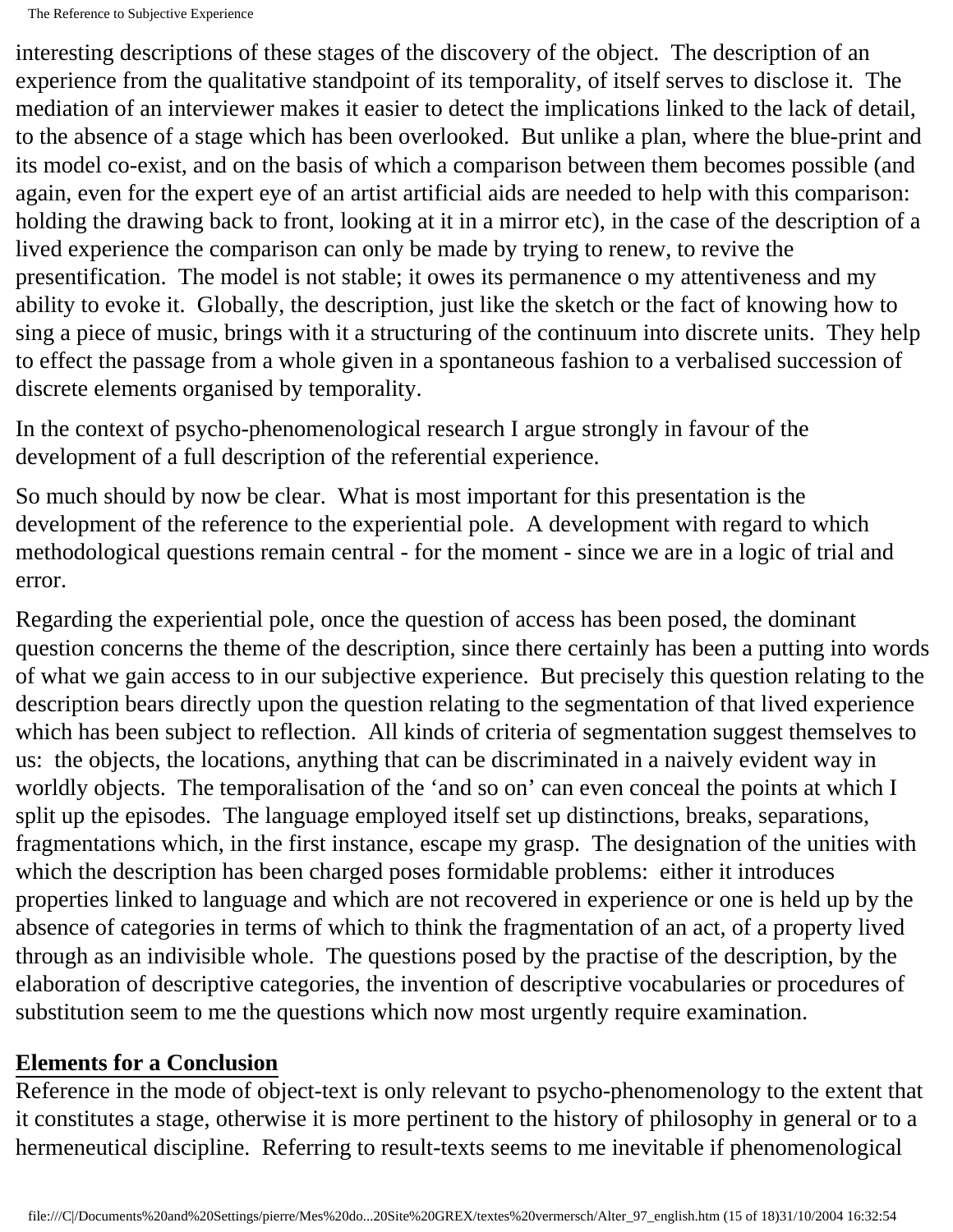interesting descriptions of these stages of the discovery of the object. The description of an experience from the qualitative standpoint of its temporality, of itself serves to disclose it. The mediation of an interviewer makes it easier to detect the implications linked to the lack of detail, to the absence of a stage which has been overlooked. But unlike a plan, where the blue-print and its model co-exist, and on the basis of which a comparison between them becomes possible (and again, even for the expert eye of an artist artificial aids are needed to help with this comparison: holding the drawing back to front, looking at it in a mirror etc), in the case of the description of a lived experience the comparison can only be made by trying to renew, to revive the presentification. The model is not stable; it owes its permanence o my attentiveness and my ability to evoke it. Globally, the description, just like the sketch or the fact of knowing how to sing a piece of music, brings with it a structuring of the continuum into discrete units. They help to effect the passage from a whole given in a spontaneous fashion to a verbalised succession of discrete elements organised by temporality.

In the context of psycho-phenomenological research I argue strongly in favour of the development of a full description of the referential experience.

So much should by now be clear. What is most important for this presentation is the development of the reference to the experiential pole. A development with regard to which methodological questions remain central - for the moment - since we are in a logic of trial and error.

Regarding the experiential pole, once the question of access has been posed, the dominant question concerns the theme of the description, since there certainly has been a putting into words of what we gain access to in our subjective experience. But precisely this question relating to the description bears directly upon the question relating to the segmentation of that lived experience which has been subject to reflection. All kinds of criteria of segmentation suggest themselves to us: the objects, the locations, anything that can be discriminated in a naively evident way in worldly objects. The temporalisation of the 'and so on' can even conceal the points at which I split up the episodes. The language employed itself set up distinctions, breaks, separations, fragmentations which, in the first instance, escape my grasp. The designation of the unities with which the description has been charged poses formidable problems: either it introduces properties linked to language and which are not recovered in experience or one is held up by the absence of categories in terms of which to think the fragmentation of an act, of a property lived through as an indivisible whole. The questions posed by the practise of the description, by the elaboration of descriptive categories, the invention of descriptive vocabularies or procedures of substitution seem to me the questions which now most urgently require examination.

#### **Elements for a Conclusion**

Reference in the mode of object-text is only relevant to psycho-phenomenology to the extent that it constitutes a stage, otherwise it is more pertinent to the history of philosophy in general or to a hermeneutical discipline. Referring to result-texts seems to me inevitable if phenomenological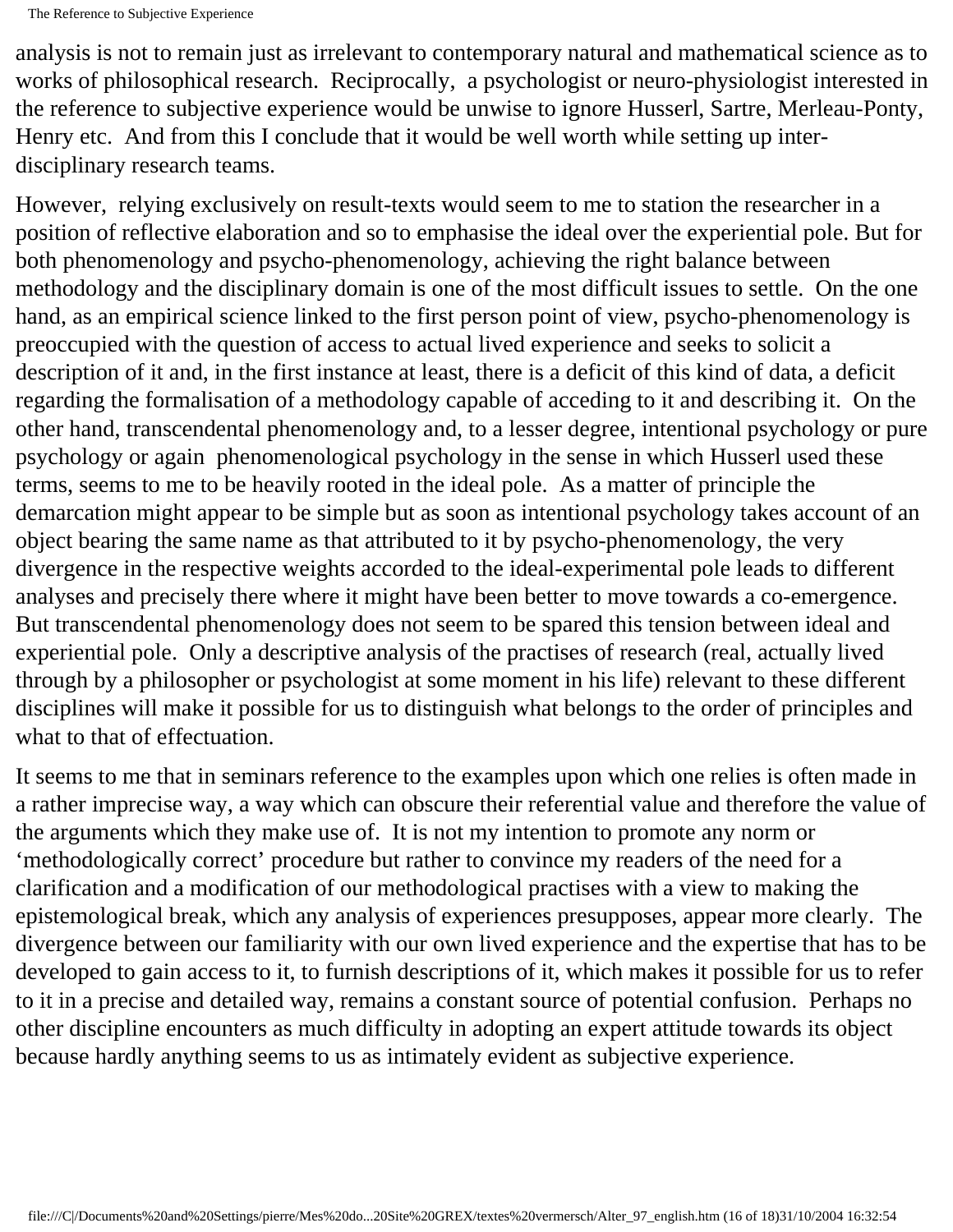analysis is not to remain just as irrelevant to contemporary natural and mathematical science as to works of philosophical research. Reciprocally, a psychologist or neuro-physiologist interested in the reference to subjective experience would be unwise to ignore Husserl, Sartre, Merleau-Ponty, Henry etc. And from this I conclude that it would be well worth while setting up interdisciplinary research teams.

However, relying exclusively on result-texts would seem to me to station the researcher in a position of reflective elaboration and so to emphasise the ideal over the experiential pole. But for both phenomenology and psycho-phenomenology, achieving the right balance between methodology and the disciplinary domain is one of the most difficult issues to settle. On the one hand, as an empirical science linked to the first person point of view, psycho-phenomenology is preoccupied with the question of access to actual lived experience and seeks to solicit a description of it and, in the first instance at least, there is a deficit of this kind of data, a deficit regarding the formalisation of a methodology capable of acceding to it and describing it. On the other hand, transcendental phenomenology and, to a lesser degree, intentional psychology or pure psychology or again phenomenological psychology in the sense in which Husserl used these terms, seems to me to be heavily rooted in the ideal pole. As a matter of principle the demarcation might appear to be simple but as soon as intentional psychology takes account of an object bearing the same name as that attributed to it by psycho-phenomenology, the very divergence in the respective weights accorded to the ideal-experimental pole leads to different analyses and precisely there where it might have been better to move towards a co-emergence. But transcendental phenomenology does not seem to be spared this tension between ideal and experiential pole. Only a descriptive analysis of the practises of research (real, actually lived through by a philosopher or psychologist at some moment in his life) relevant to these different disciplines will make it possible for us to distinguish what belongs to the order of principles and what to that of effectuation.

It seems to me that in seminars reference to the examples upon which one relies is often made in a rather imprecise way, a way which can obscure their referential value and therefore the value of the arguments which they make use of. It is not my intention to promote any norm or 'methodologically correct' procedure but rather to convince my readers of the need for a clarification and a modification of our methodological practises with a view to making the epistemological break, which any analysis of experiences presupposes, appear more clearly. The divergence between our familiarity with our own lived experience and the expertise that has to be developed to gain access to it, to furnish descriptions of it, which makes it possible for us to refer to it in a precise and detailed way, remains a constant source of potential confusion. Perhaps no other discipline encounters as much difficulty in adopting an expert attitude towards its object because hardly anything seems to us as intimately evident as subjective experience.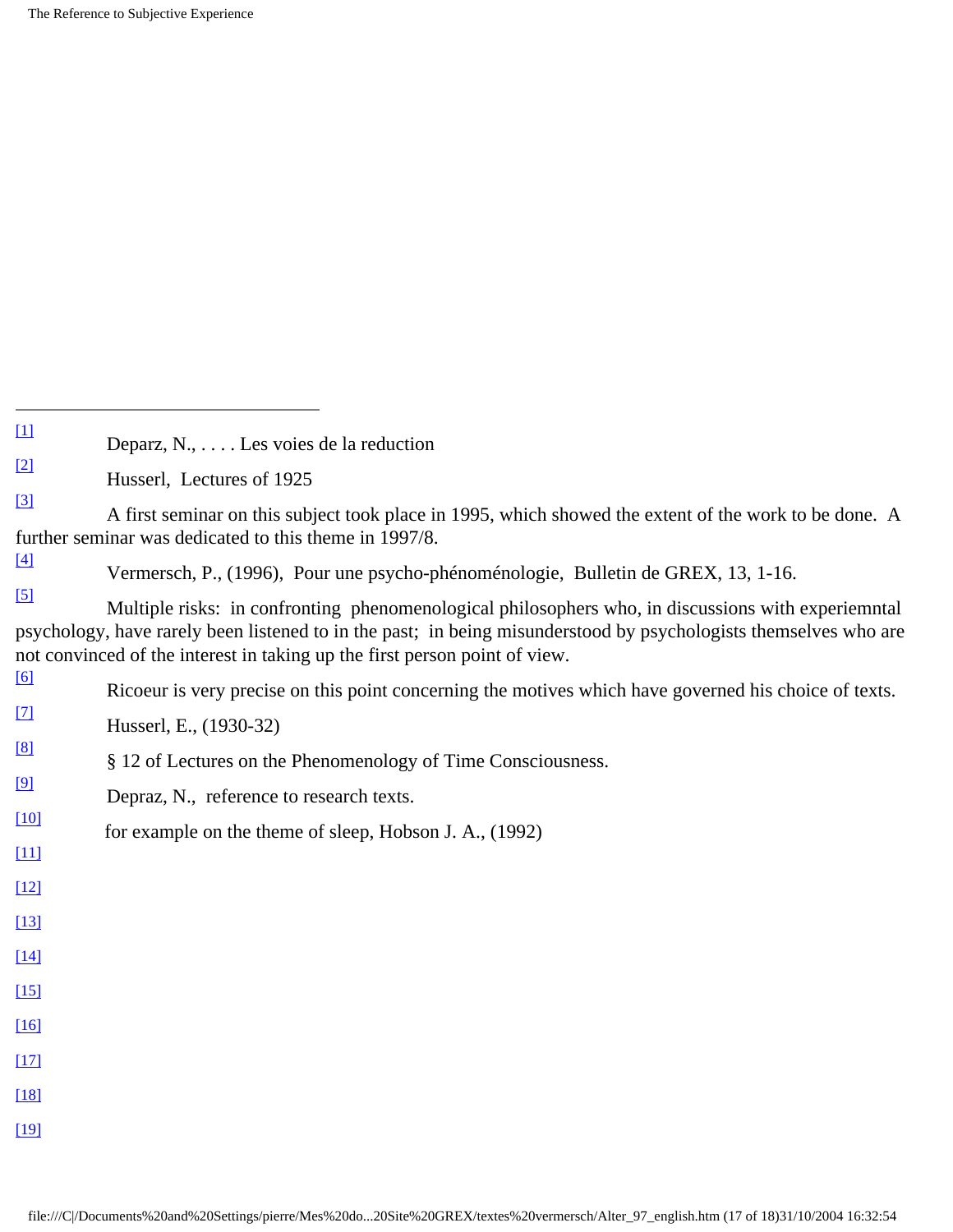<span id="page-16-0"></span>

| $\rm \Xi{}$ |                                                     |  |  |
|-------------|-----------------------------------------------------|--|--|
|             | Deparz, $N_{1}, \ldots$ . Les voies de la reduction |  |  |

<span id="page-16-1"></span>[\[2\]](#page-1-0) Husserl, Lectures of 1925

<span id="page-16-2"></span>[\[3\]](#page-1-1) A first seminar on this subject took place in 1995, which showed the extent of the work to be done. A further seminar was dedicated to this theme in 1997/8.

<span id="page-16-3"></span>[\[4\]](#page-1-2) Vermersch, P., (1996), Pour une psycho-phénoménologie, Bulletin de GREX, 13, 1-16.

<span id="page-16-4"></span>[\[5\]](#page-1-3) Multiple risks: in confronting phenomenological philosophers who, in discussions with experiemntal psychology, have rarely been listened to in the past; in being misunderstood by psychologists themselves who are not convinced of the interest in taking up the first person point of view.

<span id="page-16-19"></span><span id="page-16-18"></span><span id="page-16-17"></span><span id="page-16-16"></span><span id="page-16-15"></span><span id="page-16-14"></span><span id="page-16-13"></span><span id="page-16-12"></span><span id="page-16-11"></span><span id="page-16-10"></span><span id="page-16-9"></span><span id="page-16-8"></span><span id="page-16-7"></span><span id="page-16-6"></span><span id="page-16-5"></span>

| [6]         | Ricoeur is very precise on this point concerning the motives which have governed his choice of texts. |
|-------------|-------------------------------------------------------------------------------------------------------|
| $\boxed{7}$ | Husserl, E., (1930-32)                                                                                |
| $\sqrt{8}$  | § 12 of Lectures on the Phenomenology of Time Consciousness.                                          |
| [9]         | Depraz, N., reference to research texts.                                                              |
| $[10]$      | for example on the theme of sleep, Hobson J. A., (1992)                                               |
| $[11]$      |                                                                                                       |
| $[12]$      |                                                                                                       |
| $[13]$      |                                                                                                       |
| $[14]$      |                                                                                                       |
| $[15]$      |                                                                                                       |
| $[16]$      |                                                                                                       |
| $[17]$      |                                                                                                       |
| $[18]$      |                                                                                                       |
| $[19]$      |                                                                                                       |